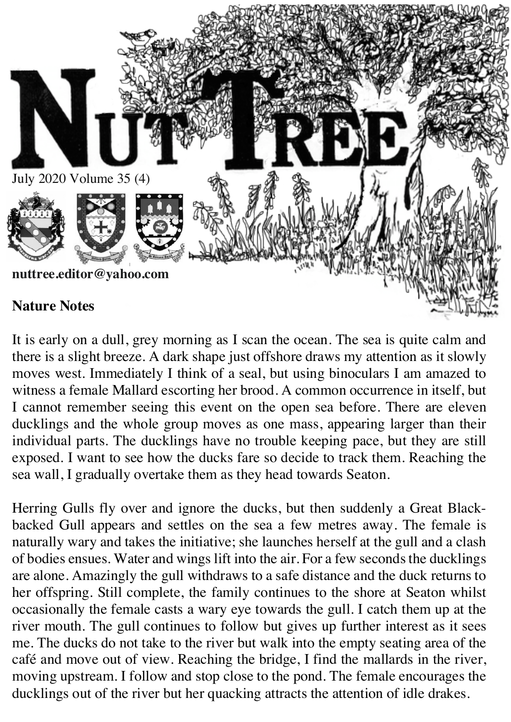

It is early on a dull, grey morning as I scan the ocean. The sea is quite calm and there is a slight breeze. A dark shape just offshore draws my attention as it slowly moves west. Immediately I think of a seal, but using binoculars I am amazed to witness a female Mallard escorting her brood. A common occurrence in itself, but I cannot remember seeing this event on the open sea before. There are eleven ducklings and the whole group moves as one mass, appearing larger than their individual parts. The ducklings have no trouble keeping pace, but they are still exposed. I want to see how the ducks fare so decide to track them. Reaching the sea wall, I gradually overtake them as they head towards Seaton.

Herring Gulls fly over and ignore the ducks, but then suddenly a Great Blackbacked Gull appears and settles on the sea a few metres away. The female is naturally wary and takes the initiative; she launches herself at the gull and a clash of bodies ensues. Water and wings lift into the air. For a few seconds the ducklings are alone. Amazingly the gull withdraws to a safe distance and the duck returns to her offspring. Still complete, the family continues to the shore at Seaton whilst occasionally the female casts a wary eye towards the gull. I catch them up at the river mouth. The gull continues to follow but gives up further interest as it sees me. The ducks do not take to the river but walk into the empty seating area of the café and move out of view. Reaching the bridge, I find the mallards in the river, moving upstream. I follow and stop close to the pond. The female encourages the ducklings out of the river but her quacking attracts the attention of idle drakes.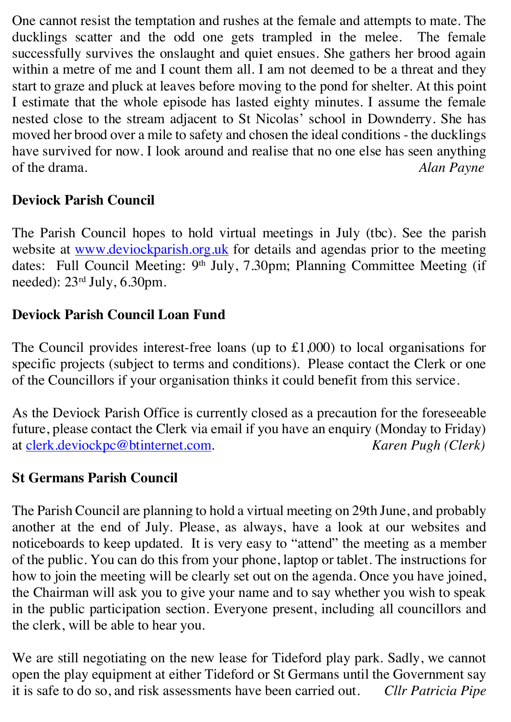One cannot resist the temptation and rushes at the female and attempts to mate. The ducklings scatter and the odd one gets trampled in the melee. The female successfully survives the onslaught and quiet ensues. She gathers her brood again within a metre of me and I count them all. I am not deemed to be a threat and they start to graze and pluck at leaves before moving to the pond for shelter. At this point I estimate that the whole episode has lasted eighty minutes. I assume the female nested close to the stream adjacent to St Nicolas' school in Downderry. She has moved her brood over a mile to safety and chosen the ideal conditions - the ducklings have survived for now. I look around and realise that no one else has seen anything of the drama. *Alan Payne*

## **Deviock Parish Council**

The Parish Council hopes to hold virtual meetings in July (tbc). See the parish website at www.deviockparish.org.uk for details and agendas prior to the meeting dates: Full Council Meeting: 9<sup>th</sup> July, 7.30pm; Planning Committee Meeting (if needed): 23rd July, 6.30pm.

## **Deviock Parish Council Loan Fund**

The Council provides interest-free loans (up to £1,000) to local organisations for specific projects (subject to terms and conditions). Please contact the Clerk or one of the Councillors if your organisation thinks it could benefit from this service.

As the Deviock Parish Office is currently closed as a precaution for the foreseeable future, please contact the Clerk via email if you have an enquiry (Monday to Friday) at clerk.deviockpc@btinternet.com. *Karen Pugh (Clerk)*

#### **St Germans Parish Council**

The Parish Council are planning to hold a virtual meeting on 29th June, and probably another at the end of July. Please, as always, have a look at our websites and noticeboards to keep updated. It is very easy to "attend" the meeting as a member of the public. You can do this from your phone, laptop or tablet. The instructions for how to join the meeting will be clearly set out on the agenda. Once you have joined, the Chairman will ask you to give your name and to say whether you wish to speak in the public participation section. Everyone present, including all councillors and the clerk, will be able to hear you.

We are still negotiating on the new lease for Tideford play park. Sadly, we cannot open the play equipment at either Tideford or St Germans until the Government say it is safe to do so, and risk assessments have been carried out. *Cllr Patricia Pipe*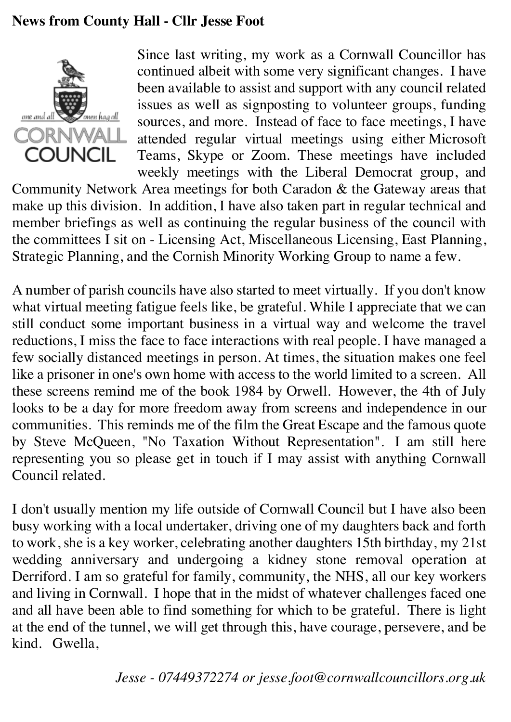## **News from County Hall - Cllr Jesse Foot**



Since last writing, my work as a Cornwall Councillor has continued albeit with some very significant changes. I have been available to assist and support with any council related issues as well as signposting to volunteer groups, funding sources, and more. Instead of face to face meetings, I have attended regular virtual meetings using either Microsoft Teams, Skype or Zoom. These meetings have included weekly meetings with the Liberal Democrat group, and

Community Network Area meetings for both Caradon & the Gateway areas that make up this division. In addition, I have also taken part in regular technical and member briefings as well as continuing the regular business of the council with the committees I sit on - Licensing Act, Miscellaneous Licensing, East Planning, Strategic Planning, and the Cornish Minority Working Group to name a few.

A number of parish councils have also started to meet virtually. If you don't know what virtual meeting fatigue feels like, be grateful. While I appreciate that we can still conduct some important business in a virtual way and welcome the travel reductions, I miss the face to face interactions with real people. I have managed a few socially distanced meetings in person. At times, the situation makes one feel like a prisoner in one's own home with access to the world limited to a screen. All these screens remind me of the book 1984 by Orwell. However, the 4th of July looks to be a day for more freedom away from screens and independence in our communities. This reminds me of the film the Great Escape and the famous quote by Steve McQueen, "No Taxation Without Representation". I am still here representing you so please get in touch if I may assist with anything Cornwall Council related.

I don't usually mention my life outside of Cornwall Council but I have also been busy working with a local undertaker, driving one of my daughters back and forth to work, she is a key worker, celebrating another daughters 15th birthday, my 21st wedding anniversary and undergoing a kidney stone removal operation at Derriford. I am so grateful for family, community, the NHS, all our key workers and living in Cornwall. I hope that in the midst of whatever challenges faced one and all have been able to find something for which to be grateful. There is light at the end of the tunnel, we will get through this, have courage, persevere, and be kind. Gwella,

*Jesse - 07449372274 or jesse.foot@cornwallcouncillors.org.uk*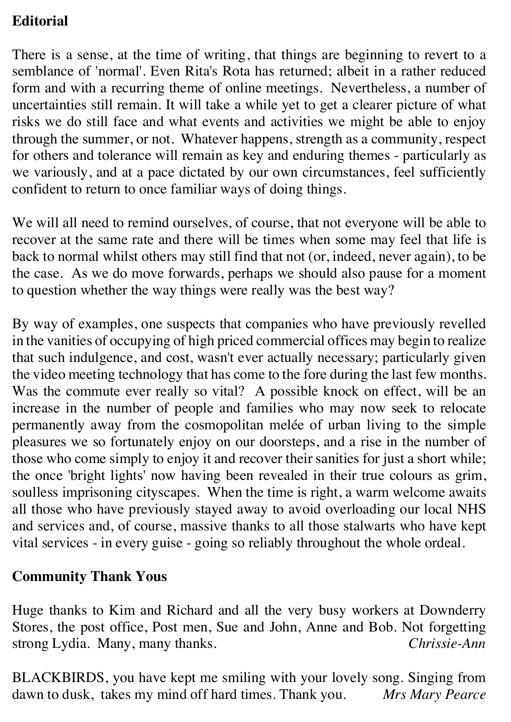# **Editorial**

There is a sense, at the time of writing, that things are beginning to revert to a semblance of 'normal'. Even Rita's Rota has returned; albeit in a rather reduced form and with a recurring theme of online meetings. Nevertheless, a number of uncertainties still remain. It will take a while yet to get a clearer picture of what risks we do still face and what events and activities we might be able to enjoy through the summer, or not. Whatever happens, strength as a community, respect for others and tolerance will remain as key and enduring themes - particularly as we variously, and at a pace dictated by our own circumstances, feel sufficiently confident to return to once familiar ways of doing things.

We will all need to remind ourselves, of course, that not everyone will be able to recover at the same rate and there will be times when some may feel that life is back to normal whilst others may still find that not (or, indeed, never again), to be the case. As we do move forwards, perhaps we should also pause for a moment to question whether the way things were really was the best way?

By way of examples, one suspects that companies who have previously revelled in the vanities of occupying of high priced commercial offices may begin to realize that such indulgence, and cost, wasn't ever actually necessary; particularly given the video meeting technology that has come to the fore during the last few months. Was the commute ever really so vital? A possible knock on effect, will be an increase in the number of people and families who may now seek to relocate permanently away from the cosmopolitan melée of urban living to the simple pleasures we so fortunately enjoy on our doorsteps, and a rise in the number of those who come simply to enjoy it and recover their sanities for just a short while; the once 'bright lights' now having been revealed in their true colours as grim, soulless imprisoning cityscapes. When the time is right, a warm welcome awaits all those who have previously stayed away to avoid overloading our local NHS and services and, of course, massive thanks to all those stalwarts who have kept vital services - in every guise - going so reliably throughout the whole ordeal.

# **Community Thank Yous**

Huge thanks to Kim and Richard and all the very busy workers at Downderry Stores, the post office, Post men, Sue and John, Anne and Bob. Not forgetting strong Lydia. Many, many thanks. *Chrissie-Ann*

BLACKBIRDS, you have kept me smiling with your lovely song. Singing from dawn to dusk, takes my mind off hard times. Thank you. *Mrs Mary Pearce*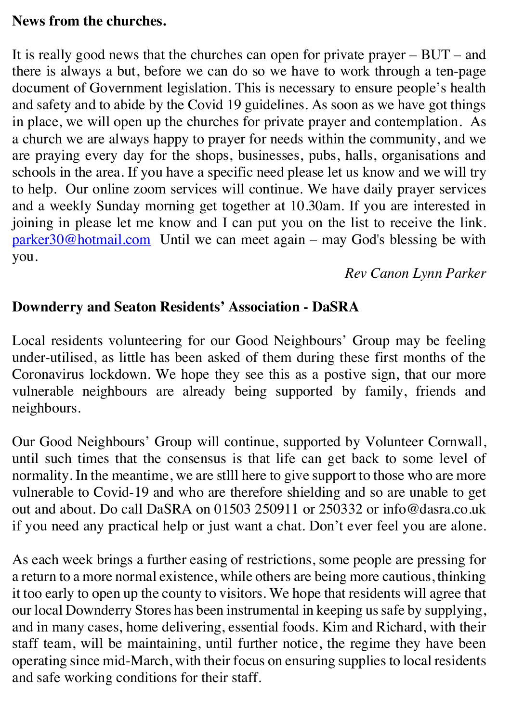#### **News from the churches.**

It is really good news that the churches can open for private prayer  $-$  BUT – and there is always a but, before we can do so we have to work through a ten-page document of Government legislation. This is necessary to ensure people's health and safety and to abide by the Covid 19 guidelines. As soon as we have got things in place, we will open up the churches for private prayer and contemplation. As a church we are always happy to prayer for needs within the community, and we are praying every day for the shops, businesses, pubs, halls, organisations and schools in the area. If you have a specific need please let us know and we will try to help. Our online zoom services will continue. We have daily prayer services and a weekly Sunday morning get together at 10.30am. If you are interested in joining in please let me know and I can put you on the list to receive the link. parker30@hotmail.com Until we can meet again – may God's blessing be with you.

*Rev Canon Lynn Parker*

#### **Downderry and Seaton Residents' Association - DaSRA**

Local residents volunteering for our Good Neighbours' Group may be feeling under-utilised, as little has been asked of them during these first months of the Coronavirus lockdown. We hope they see this as a postive sign, that our more vulnerable neighbours are already being supported by family, friends and neighbours.

Our Good Neighbours' Group will continue, supported by Volunteer Cornwall, until such times that the consensus is that life can get back to some level of normality. In the meantime, we are stlll here to give support to those who are more vulnerable to Covid-19 and who are therefore shielding and so are unable to get out and about. Do call DaSRA on 01503 250911 or 250332 or info@dasra.co.uk if you need any practical help or just want a chat. Don't ever feel you are alone.

As each week brings a further easing of restrictions, some people are pressing for a return to a more normal existence, while others are being more cautious, thinking it too early to open up the county to visitors. We hope that residents will agree that our local Downderry Stores has been instrumental in keeping us safe by supplying, and in many cases, home delivering, essential foods. Kim and Richard, with their staff team, will be maintaining, until further notice, the regime they have been operating since mid-March, with their focus on ensuring supplies to local residents and safe working conditions for their staff.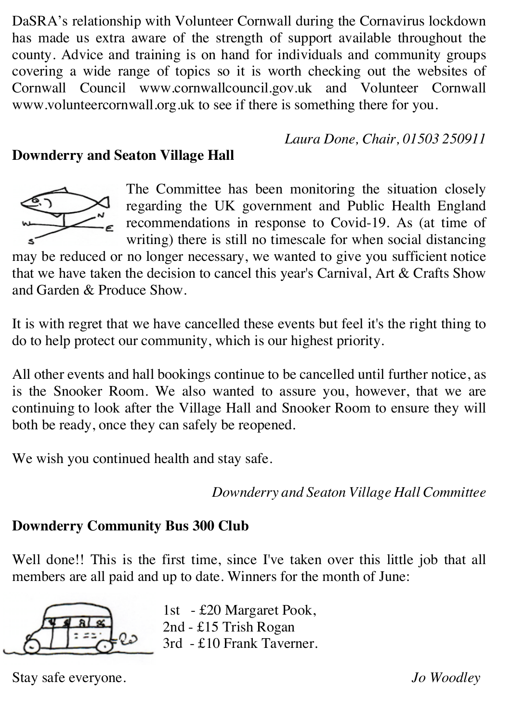DaSRA's relationship with Volunteer Cornwall during the Cornavirus lockdown has made us extra aware of the strength of support available throughout the county. Advice and training is on hand for individuals and community groups covering a wide range of topics so it is worth checking out the websites of Cornwall Council www.cornwallcouncil.gov.uk and Volunteer Cornwall www.volunteercornwall.org.uk to see if there is something there for you.

*Laura Done, Chair, 01503 250911*

# **Downderry and Seaton Village Hall**



The Committee has been monitoring the situation closely regarding the UK government and Public Health England recommendations in response to Covid-19. As (at time of writing) there is still no timescale for when social distancing

may be reduced or no longer necessary, we wanted to give you sufficient notice that we have taken the decision to cancel this year's Carnival, Art & Crafts Show and Garden & Produce Show.

It is with regret that we have cancelled these events but feel it's the right thing to do to help protect our community, which is our highest priority.

All other events and hall bookings continue to be cancelled until further notice, as is the Snooker Room. We also wanted to assure you, however, that we are continuing to look after the Village Hall and Snooker Room to ensure they will both be ready, once they can safely be reopened.

We wish you continued health and stay safe.

*Downderry and Seaton Village Hall Committee*

# **Downderry Community Bus 300 Club**

Well done!! This is the first time, since I've taken over this little job that all members are all paid and up to date. Winners for the month of June:



1st - £20 Margaret Pook, 2nd - £15 Trish Rogan 3rd - £10 Frank Taverner.

Stay safe everyone. *Jo Woodley*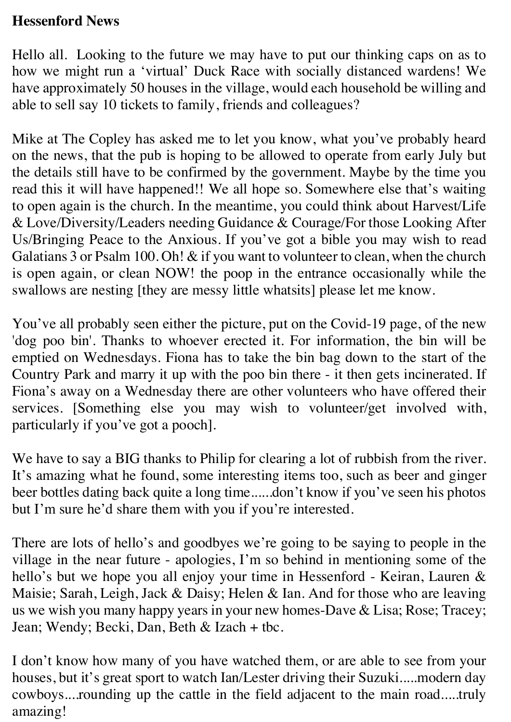#### **Hessenford News**

Hello all. Looking to the future we may have to put our thinking caps on as to how we might run a 'virtual' Duck Race with socially distanced wardens! We have approximately 50 houses in the village, would each household be willing and able to sell say 10 tickets to family, friends and colleagues?

Mike at The Copley has asked me to let you know, what you've probably heard on the news, that the pub is hoping to be allowed to operate from early July but the details still have to be confirmed by the government. Maybe by the time you read this it will have happened!! We all hope so. Somewhere else that's waiting to open again is the church. In the meantime, you could think about Harvest/Life & Love/Diversity/Leaders needing Guidance & Courage/For those Looking After Us/Bringing Peace to the Anxious. If you've got a bible you may wish to read Galatians 3 or Psalm 100. Oh! & if you want to volunteer to clean, when the church is open again, or clean NOW! the poop in the entrance occasionally while the swallows are nesting [they are messy little whatsits] please let me know.

You've all probably seen either the picture, put on the Covid-19 page, of the new 'dog poo bin'. Thanks to whoever erected it. For information, the bin will be emptied on Wednesdays. Fiona has to take the bin bag down to the start of the Country Park and marry it up with the poo bin there - it then gets incinerated. If Fiona's away on a Wednesday there are other volunteers who have offered their services. [Something else you may wish to volunteer/get involved with, particularly if you've got a pooch].

We have to say a BIG thanks to Philip for clearing a lot of rubbish from the river. It's amazing what he found, some interesting items too, such as beer and ginger beer bottles dating back quite a long time......don't know if you've seen his photos but I'm sure he'd share them with you if you're interested.

There are lots of hello's and goodbyes we're going to be saying to people in the village in the near future - apologies, I'm so behind in mentioning some of the hello's but we hope you all enjoy your time in Hessenford - Keiran, Lauren & Maisie; Sarah, Leigh, Jack & Daisy; Helen & Ian. And for those who are leaving us we wish you many happy years in your new homes-Dave & Lisa; Rose; Tracey; Jean; Wendy; Becki, Dan, Beth & Izach + tbc.

I don't know how many of you have watched them, or are able to see from your houses, but it's great sport to watch Ian/Lester driving their Suzuki.....modern day cowboys....rounding up the cattle in the field adjacent to the main road.....truly amazing!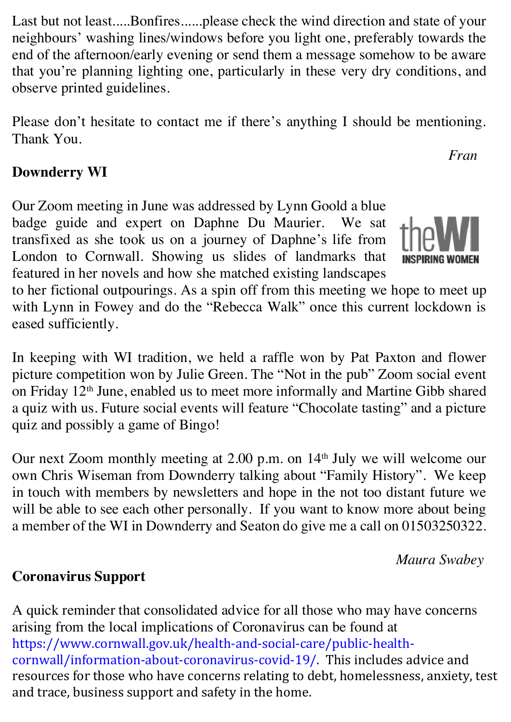Last but not least.....Bonfires......please check the wind direction and state of your neighbours' washing lines/windows before you light one, preferably towards the end of the afternoon/early evening or send them a message somehow to be aware that you're planning lighting one, particularly in these very dry conditions, and observe printed guidelines.

Please don't hesitate to contact me if there's anything I should be mentioning. Thank You.

# **Downderry WI**

Our Zoom meeting in June was addressed by Lynn Goold a blue badge guide and expert on Daphne Du Maurier. We sat transfixed as she took us on a journey of Daphne's life from London to Cornwall. Showing us slides of landmarks that featured in her novels and how she matched existing landscapes



*Fran* 

to her fictional outpourings. As a spin off from this meeting we hope to meet up with Lynn in Fowey and do the "Rebecca Walk" once this current lockdown is eased sufficiently.

In keeping with WI tradition, we held a raffle won by Pat Paxton and flower picture competition won by Julie Green. The "Not in the pub" Zoom social event on Friday 12th June, enabled us to meet more informally and Martine Gibb shared a quiz with us. Future social events will feature "Chocolate tasting" and a picture quiz and possibly a game of Bingo!

Our next Zoom monthly meeting at 2.00 p.m. on 14<sup>th</sup> July we will welcome our own Chris Wiseman from Downderry talking about "Family History". We keep in touch with members by newsletters and hope in the not too distant future we will be able to see each other personally. If you want to know more about being a member of the WI in Downderry and Seaton do give me a call on 01503250322.

*Maura Swabey*

# **Coronavirus Support**

A quick reminder that consolidated advice for all those who may have concerns arising from the local implications of Coronavirus can be found at https://www.cornwall.gov.uk/health-and-social-care/public-healthcornwall/information-about-coronavirus-covid-19/. This includes advice and resources for those who have concerns relating to debt, homelessness, anxiety, test and trace, business support and safety in the home.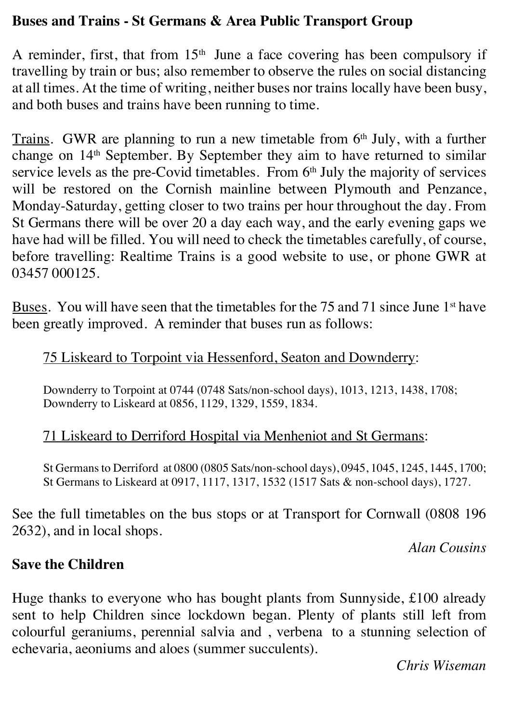#### **Buses and Trains - St Germans & Area Public Transport Group**

A reminder, first, that from  $15<sup>th</sup>$  June a face covering has been compulsory if travelling by train or bus; also remember to observe the rules on social distancing at all times. At the time of writing, neither buses nor trains locally have been busy, and both buses and trains have been running to time.

Trains. GWR are planning to run a new timetable from  $6<sup>th</sup>$  July, with a further change on 14th September. By September they aim to have returned to similar service levels as the pre-Covid timetables. From  $6<sup>th</sup>$  July the majority of services will be restored on the Cornish mainline between Plymouth and Penzance, Monday-Saturday, getting closer to two trains per hour throughout the day. From St Germans there will be over 20 a day each way, and the early evening gaps we have had will be filled. You will need to check the timetables carefully, of course, before travelling: Realtime Trains is a good website to use, or phone GWR at 03457 000125.

Buses. You will have seen that the timetables for the 75 and 71 since June 1<sup>st</sup> have been greatly improved. A reminder that buses run as follows:

# 75 Liskeard to Torpoint via Hessenford, Seaton and Downderry:

Downderry to Torpoint at 0744 (0748 Sats/non-school days), 1013, 1213, 1438, 1708; Downderry to Liskeard at 0856, 1129, 1329, 1559, 1834.

#### 71 Liskeard to Derriford Hospital via Menheniot and St Germans:

St Germans to Derriford at 0800 (0805 Sats/non-school days), 0945, 1045, 1245, 1445, 1700; St Germans to Liskeard at 0917, 1117, 1317, 1532 (1517 Sats & non-school days), 1727.

See the full timetables on the bus stops or at Transport for Cornwall (0808 196 2632), and in local shops.

*Alan Cousins*

#### **Save the Children**

Huge thanks to everyone who has bought plants from Sunnyside, £100 already sent to help Children since lockdown began. Plenty of plants still left from colourful geraniums, perennial salvia and , verbena to a stunning selection of echevaria, aeoniums and aloes (summer succulents).

*Chris Wiseman*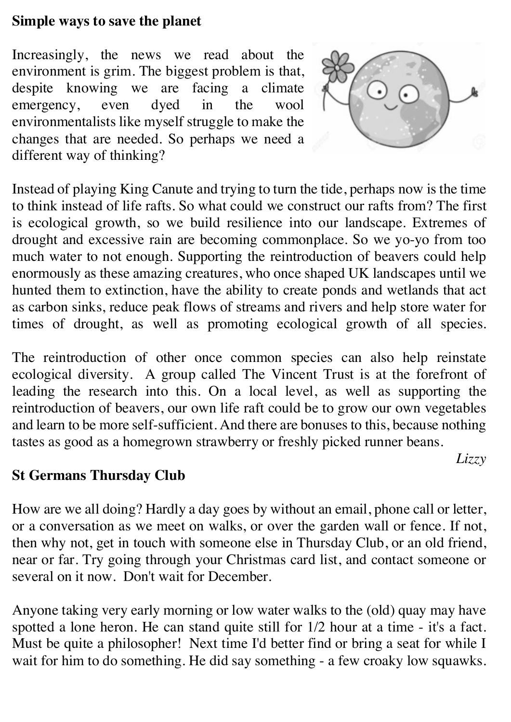#### **Simple ways to save the planet**

Increasingly, the news we read about the environment is grim. The biggest problem is that, despite knowing we are facing a climate emergency, even dyed in the wool environmentalists like myself struggle to make the changes that are needed. So perhaps we need a different way of thinking?



*Lizzy*

Instead of playing King Canute and trying to turn the tide, perhaps now is the time to think instead of life rafts. So what could we construct our rafts from? The first is ecological growth, so we build resilience into our landscape. Extremes of drought and excessive rain are becoming commonplace. So we yo-yo from too much water to not enough. Supporting the reintroduction of beavers could help enormously as these amazing creatures, who once shaped UK landscapes until we hunted them to extinction, have the ability to create ponds and wetlands that act as carbon sinks, reduce peak flows of streams and rivers and help store water for times of drought, as well as promoting ecological growth of all species.

The reintroduction of other once common species can also help reinstate ecological diversity. A group called The Vincent Trust is at the forefront of leading the research into this. On a local level, as well as supporting the reintroduction of beavers, our own life raft could be to grow our own vegetables and learn to be more self-sufficient. And there are bonuses to this, because nothing tastes as good as a homegrown strawberry or freshly picked runner beans.

**St Germans Thursday Club**

How are we all doing? Hardly a day goes by without an email, phone call or letter, or a conversation as we meet on walks, or over the garden wall or fence. If not, then why not, get in touch with someone else in Thursday Club, or an old friend, near or far. Try going through your Christmas card list, and contact someone or several on it now. Don't wait for December.

Anyone taking very early morning or low water walks to the (old) quay may have spotted a lone heron. He can stand quite still for 1/2 hour at a time - it's a fact. Must be quite a philosopher! Next time I'd better find or bring a seat for while I wait for him to do something. He did say something - a few croaky low squawks.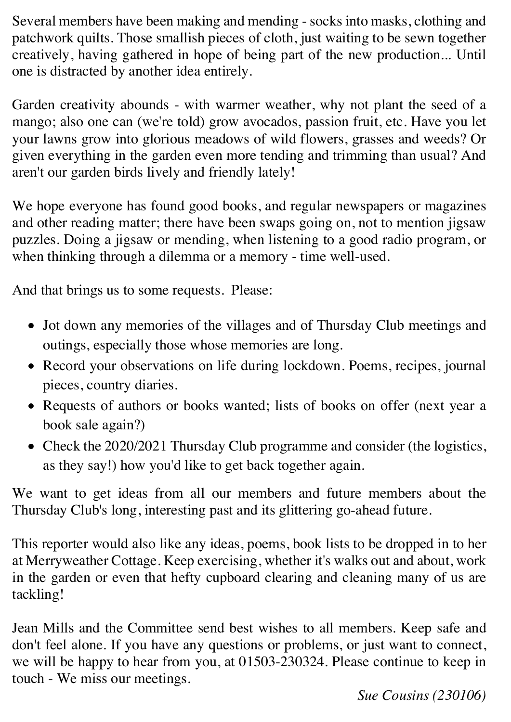Several members have been making and mending - socks into masks, clothing and patchwork quilts. Those smallish pieces of cloth, just waiting to be sewn together creatively, having gathered in hope of being part of the new production... Until one is distracted by another idea entirely.

Garden creativity abounds - with warmer weather, why not plant the seed of a mango; also one can (we're told) grow avocados, passion fruit, etc. Have you let your lawns grow into glorious meadows of wild flowers, grasses and weeds? Or given everything in the garden even more tending and trimming than usual? And aren't our garden birds lively and friendly lately!

We hope everyone has found good books, and regular newspapers or magazines and other reading matter; there have been swaps going on, not to mention jigsaw puzzles. Doing a jigsaw or mending, when listening to a good radio program, or when thinking through a dilemma or a memory - time well-used.

And that brings us to some requests. Please:

- Jot down any memories of the villages and of Thursday Club meetings and outings, especially those whose memories are long.
- Record your observations on life during lockdown. Poems, recipes, journal pieces, country diaries.
- Requests of authors or books wanted; lists of books on offer (next year a book sale again?)
- Check the 2020/2021 Thursday Club programme and consider (the logistics, as they say!) how you'd like to get back together again.

We want to get ideas from all our members and future members about the Thursday Club's long, interesting past and its glittering go-ahead future.

This reporter would also like any ideas, poems, book lists to be dropped in to her at Merryweather Cottage. Keep exercising, whether it's walks out and about, work in the garden or even that hefty cupboard clearing and cleaning many of us are tackling!

Jean Mills and the Committee send best wishes to all members. Keep safe and don't feel alone. If you have any questions or problems, or just want to connect, we will be happy to hear from you, at 01503-230324. Please continue to keep in touch - We miss our meetings.

*Sue Cousins (230106)*